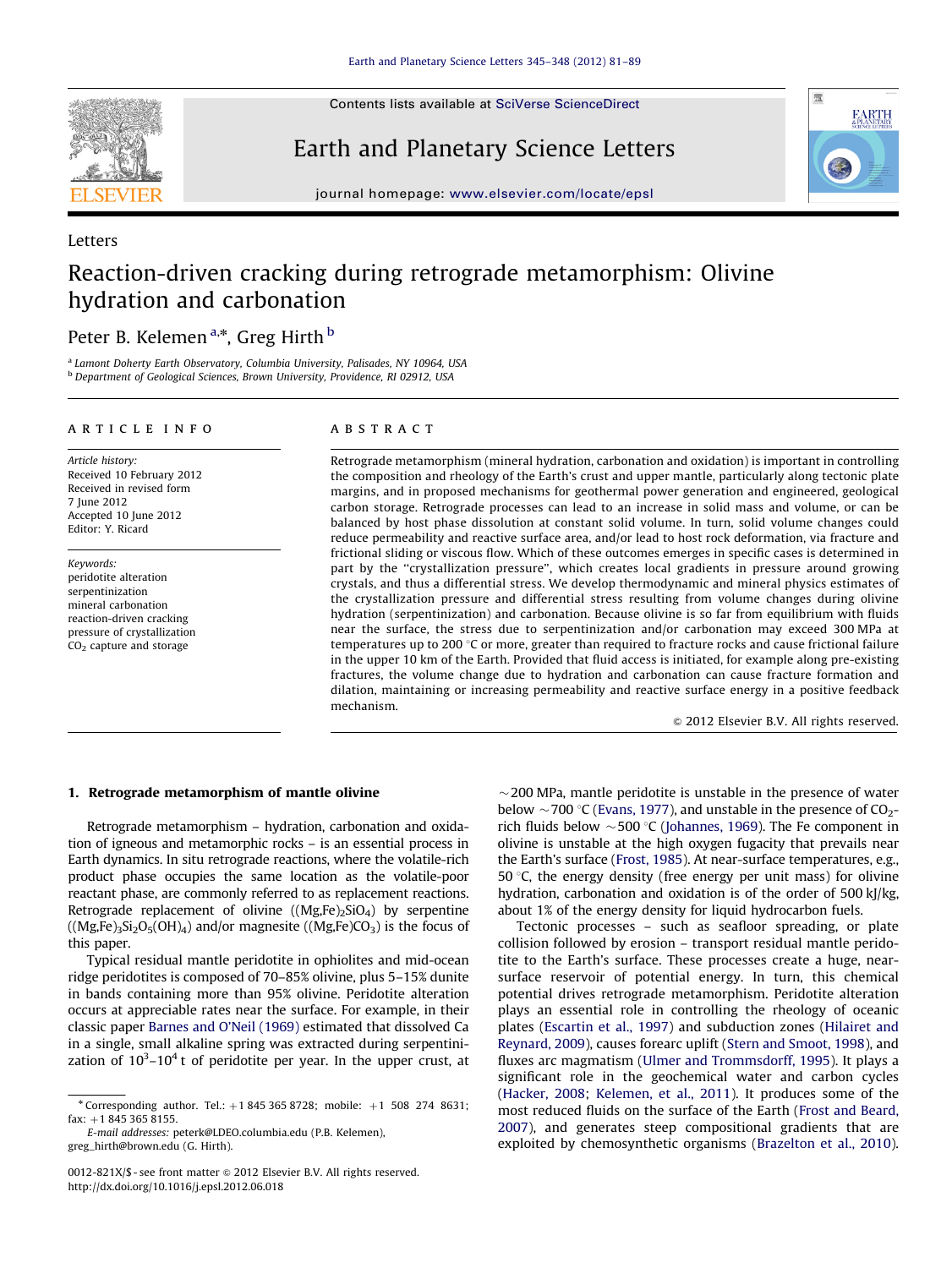<span id="page-0-0"></span>

Letters

Contents lists available at [SciVerse ScienceDirect](www.elsevier.com/locate/epsl)

Earth and Planetary Science Letters



journal homepage: <www.elsevier.com/locate/epsl>

# Reaction-driven cracking during retrograde metamorphism: Olivine hydration and carbonation

# Peter B. Kelemen<sup>a,</sup>\*, Greg Hirth <sup>b</sup>

<sup>a</sup> Lamont Doherty Earth Observatory, Columbia University, Palisades, NY 10964, USA <sup>b</sup> Department of Geological Sciences, Brown University, Providence, RI 02912, USA

## article info

Article history: Received 10 February 2012 Received in revised form 7 June 2012 Accepted 10 June 2012 Editor: Y. Ricard

Keywords: peridotite alteration serpentinization mineral carbonation reaction-driven cracking pressure of crystallization CO2 capture and storage

## **ABSTRACT**

Retrograde metamorphism (mineral hydration, carbonation and oxidation) is important in controlling the composition and rheology of the Earth's crust and upper mantle, particularly along tectonic plate margins, and in proposed mechanisms for geothermal power generation and engineered, geological carbon storage. Retrograde processes can lead to an increase in solid mass and volume, or can be balanced by host phase dissolution at constant solid volume. In turn, solid volume changes could reduce permeability and reactive surface area, and/or lead to host rock deformation, via fracture and frictional sliding or viscous flow. Which of these outcomes emerges in specific cases is determined in part by the ''crystallization pressure'', which creates local gradients in pressure around growing crystals, and thus a differential stress. We develop thermodynamic and mineral physics estimates of the crystallization pressure and differential stress resulting from volume changes during olivine hydration (serpentinization) and carbonation. Because olivine is so far from equilibrium with fluids near the surface, the stress due to serpentinization and/or carbonation may exceed 300 MPa at temperatures up to 200  $\degree$ C or more, greater than required to fracture rocks and cause frictional failure in the upper 10 km of the Earth. Provided that fluid access is initiated, for example along pre-existing fractures, the volume change due to hydration and carbonation can cause fracture formation and dilation, maintaining or increasing permeability and reactive surface energy in a positive feedback mechanism.

 $@$  2012 Elsevier B.V. All rights reserved.

# 1. Retrograde metamorphism of mantle olivine

Retrograde metamorphism – hydration, carbonation and oxidation of igneous and metamorphic rocks – is an essential process in Earth dynamics. In situ retrograde reactions, where the volatile-rich product phase occupies the same location as the volatile-poor reactant phase, are commonly referred to as replacement reactions. Retrograde replacement of olivine  $((Mg,Fe)_2SiO<sub>4</sub>)$  by serpentine  $((Mg,Fe)_3Si_2O_5(OH)_4)$  and/or magnesite  $((Mg,Fe)CO_3)$  is the focus of this paper.

Typical residual mantle peridotite in ophiolites and mid-ocean ridge peridotites is composed of 70–85% olivine, plus 5–15% dunite in bands containing more than 95% olivine. Peridotite alteration occurs at appreciable rates near the surface. For example, in their classic paper [Barnes and O'Neil \(1969\)](#page-7-0) estimated that dissolved Ca in a single, small alkaline spring was extracted during serpentinization of  $10^3$ – $10^4$ t of peridotite per year. In the upper crust, at

E-mail addresses: [peterk@LDEO.columbia.edu \(P.B. Kelemen\),](mailto:peterk@LDEO.columbia.edu) [greg\\_hirth@brown.edu \(G. Hirth\)](mailto:greg_hirth@brown.edu).

 $\sim$  200 MPa, mantle peridotite is unstable in the presence of water below  $\sim$  700 °C [\(Evans, 1977\)](#page-7-0), and unstable in the presence of CO<sub>2</sub>rich fluids below  $\sim$  500 °C ([Johannes, 1969](#page-8-0)). The Fe component in olivine is unstable at the high oxygen fugacity that prevails near the Earth's surface ([Frost, 1985](#page-7-0)). At near-surface temperatures, e.g., 50  $\degree$ C, the energy density (free energy per unit mass) for olivine hydration, carbonation and oxidation is of the order of 500 kJ/kg, about 1% of the energy density for liquid hydrocarbon fuels.

Tectonic processes – such as seafloor spreading, or plate collision followed by erosion – transport residual mantle peridotite to the Earth's surface. These processes create a huge, nearsurface reservoir of potential energy. In turn, this chemical potential drives retrograde metamorphism. Peridotite alteration plays an essential role in controlling the rheology of oceanic plates ([Escartin et al., 1997](#page-7-0)) and subduction zones [\(Hilairet and](#page-7-0) [Reynard, 2009](#page-7-0)), causes forearc uplift [\(Stern and Smoot, 1998](#page-8-0)), and fluxes arc magmatism [\(Ulmer and Trommsdorff, 1995\)](#page-8-0). It plays a significant role in the geochemical water and carbon cycles ([Hacker, 2008](#page-7-0); [Kelemen, et al., 2011](#page-8-0)). It produces some of the most reduced fluids on the surface of the Earth [\(Frost and Beard,](#page-7-0) [2007\)](#page-7-0), and generates steep compositional gradients that are exploited by chemosynthetic organisms ([Brazelton et al., 2010\)](#page-7-0).

<sup>\*</sup> Corresponding author. Tel.:  $+1$  845 365 8728; mobile:  $+1$  508 274 8631;  $fax: +1 845 365 8155.$ 

<sup>0012-821</sup>X/\$ - see front matter  $\odot$  2012 Elsevier B.V. All rights reserved. [http://dx.doi.org/10.1016/j.epsl.2012.06.018](dx.doi.org/10.1016/j.epsl.2012.06.018)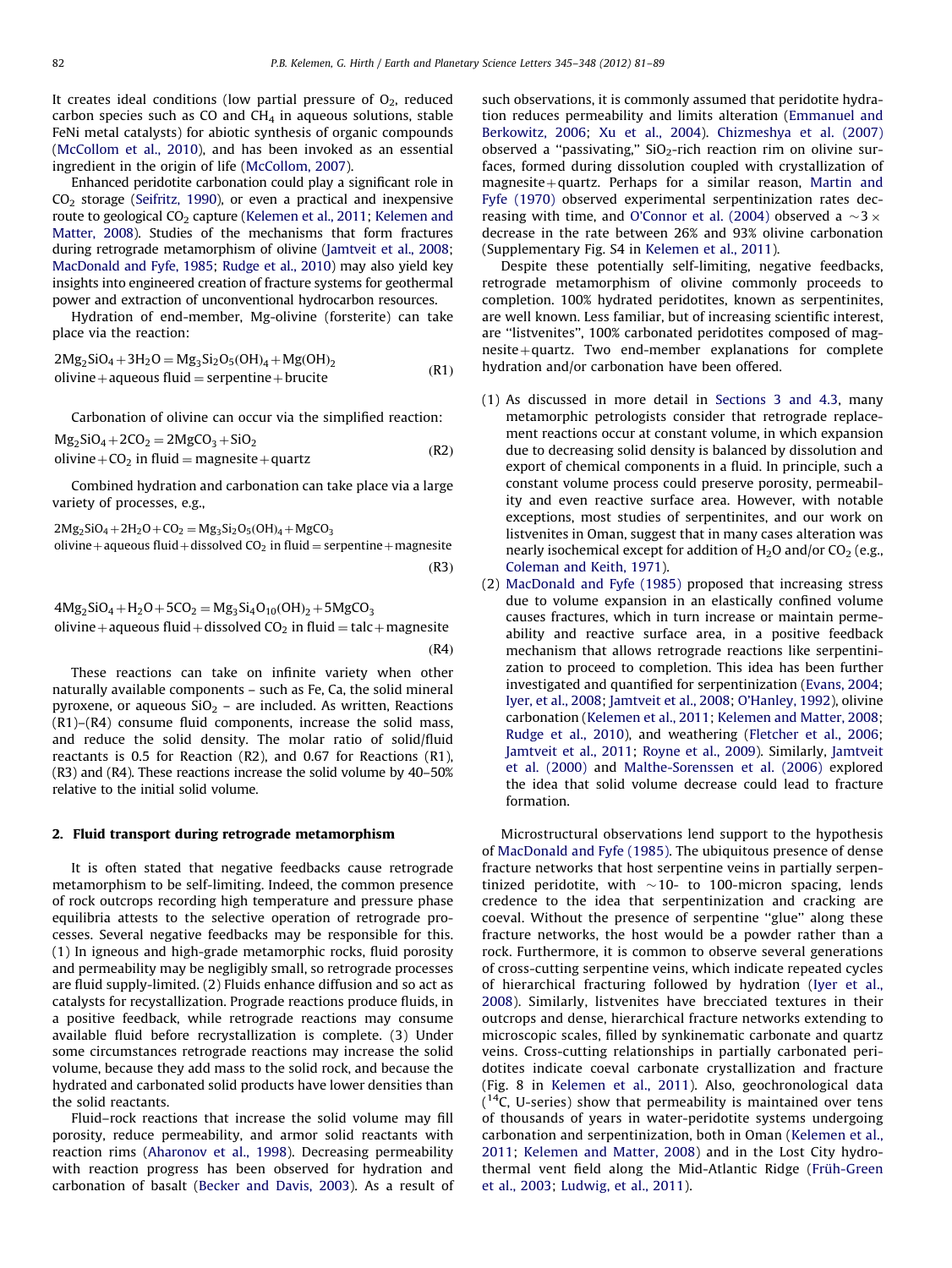It creates ideal conditions (low partial pressure of  $O<sub>2</sub>$ , reduced carbon species such as CO and  $CH<sub>4</sub>$  in aqueous solutions, stable FeNi metal catalysts) for abiotic synthesis of organic compounds ([McCollom et al., 2010\)](#page-8-0), and has been invoked as an essential ingredient in the origin of life ([McCollom, 2007\)](#page-8-0).

Enhanced peridotite carbonation could play a significant role in  $CO<sub>2</sub>$  storage [\(Seifritz, 1990](#page-8-0)), or even a practical and inexpensive route to geological CO<sub>2</sub> capture [\(Kelemen et al., 2011;](#page-8-0) [Kelemen and](#page-8-0) [Matter, 2008\)](#page-8-0). Studies of the mechanisms that form fractures during retrograde metamorphism of olivine [\(Jamtveit et al., 2008;](#page-8-0) [MacDonald and Fyfe, 1985](#page-8-0); [Rudge et al., 2010](#page-8-0)) may also yield key insights into engineered creation of fracture systems for geothermal power and extraction of unconventional hydrocarbon resources.

Hydration of end-member, Mg-olivine (forsterite) can take place via the reaction:

$$
2Mg_2SiO_4 + 3H_2O = Mg_3Si_2O_5(OH)_4 + Mg(OH)_2
$$
  
olivine + aqueous fluid = serpentine + brute  
(R1)

Carbonation of olivine can occur via the simplified reaction:

 $Mg_2SiO_4 + 2CO_2 = 2MgCO_3 + SiO_2$ olivine +  $CO_2$  in fluid = magnesite + quartz  $(R2)$ 

Combined hydration and carbonation can take place via a large variety of processes, e.g.,

 $2Mg_2SiO_4 + 2H_2O + CO_2 = Mg_3Si_2O_5(OH)_4 + MgCO_3$ 

olivine + aqueous fluid + dissolved  $CO<sub>2</sub>$  in fluid = serpentine + magnesite  $(R3)$ 

 $4Mg_2SiO_4 + H_2O + 5CO_2 = Mg_3Si_4O_{10}(OH)_2 + 5MgCO_3$ olivine + aqueous fluid + dissolved  $CO<sub>2</sub>$  in fluid = talc + magnesite  $(R4)$ 

These reactions can take on infinite variety when other naturally available components – such as Fe, Ca, the solid mineral pyroxene, or aqueous  $SiO<sub>2</sub>$  – are included. As written, Reactions (R1)–(R4) consume fluid components, increase the solid mass, and reduce the solid density. The molar ratio of solid/fluid reactants is 0.5 for Reaction (R2), and 0.67 for Reactions (R1), (R3) and (R4). These reactions increase the solid volume by 40–50% relative to the initial solid volume.

#### 2. Fluid transport during retrograde metamorphism

It is often stated that negative feedbacks cause retrograde metamorphism to be self-limiting. Indeed, the common presence of rock outcrops recording high temperature and pressure phase equilibria attests to the selective operation of retrograde processes. Several negative feedbacks may be responsible for this. (1) In igneous and high-grade metamorphic rocks, fluid porosity and permeability may be negligibly small, so retrograde processes are fluid supply-limited. (2) Fluids enhance diffusion and so act as catalysts for recystallization. Prograde reactions produce fluids, in a positive feedback, while retrograde reactions may consume available fluid before recrystallization is complete. (3) Under some circumstances retrograde reactions may increase the solid volume, because they add mass to the solid rock, and because the hydrated and carbonated solid products have lower densities than the solid reactants.

Fluid–rock reactions that increase the solid volume may fill porosity, reduce permeability, and armor solid reactants with reaction rims ([Aharonov et al., 1998\)](#page-7-0). Decreasing permeability with reaction progress has been observed for hydration and carbonation of basalt [\(Becker and Davis, 2003\)](#page-7-0). As a result of such observations, it is commonly assumed that peridotite hydration reduces permeability and limits alteration ([Emmanuel and](#page-7-0) [Berkowitz, 2006;](#page-7-0) [Xu et al., 2004\)](#page-8-0). [Chizmeshya et al. \(2007\)](#page-7-0) observed a "passivating,"  $SiO<sub>2</sub>$ -rich reaction rim on olivine surfaces, formed during dissolution coupled with crystallization of  $magnesite+quartz.$  Perhaps for a similar reason, [Martin and](#page-8-0) [Fyfe \(1970\)](#page-8-0) observed experimental serpentinization rates dec-reasing with time, and [O'Connor et al. \(2004\)](#page-8-0) observed a  $\sim$ 3  $\times$ decrease in the rate between 26% and 93% olivine carbonation (Supplementary Fig. S4 in [Kelemen et al., 2011](#page-8-0)).

Despite these potentially self-limiting, negative feedbacks, retrograde metamorphism of olivine commonly proceeds to completion. 100% hydrated peridotites, known as serpentinites, are well known. Less familiar, but of increasing scientific interest, are ''listvenites'', 100% carbonated peridotites composed of mag $nesite + quartz$ . Two end-member explanations for complete hydration and/or carbonation have been offered.

- (1) As discussed in more detail in [Sections 3 and 4.3,](#page-2-0) many metamorphic petrologists consider that retrograde replacement reactions occur at constant volume, in which expansion due to decreasing solid density is balanced by dissolution and export of chemical components in a fluid. In principle, such a constant volume process could preserve porosity, permeability and even reactive surface area. However, with notable exceptions, most studies of serpentinites, and our work on listvenites in Oman, suggest that in many cases alteration was nearly isochemical except for addition of  $H_2O$  and/or  $CO_2$  (e.g., [Coleman and Keith, 1971](#page-7-0)).
- (2) [MacDonald and Fyfe \(1985\)](#page-8-0) proposed that increasing stress due to volume expansion in an elastically confined volume causes fractures, which in turn increase or maintain permeability and reactive surface area, in a positive feedback mechanism that allows retrograde reactions like serpentinization to proceed to completion. This idea has been further investigated and quantified for serpentinization [\(Evans, 2004;](#page-7-0) [Iyer, et al., 2008;](#page-8-0) [Jamtveit et al., 2008;](#page-8-0) [O'Hanley, 1992\)](#page-8-0), olivine carbonation [\(Kelemen et al., 2011](#page-8-0); [Kelemen and Matter, 2008;](#page-8-0) [Rudge et al., 2010\)](#page-8-0), and weathering [\(Fletcher et al., 2006;](#page-7-0) [Jamtveit et al., 2011;](#page-8-0) [Royne et al., 2009\)](#page-8-0). Similarly, [Jamtveit](#page-8-0) [et al. \(2000\)](#page-8-0) and [Malthe-Sorenssen et al. \(2006\)](#page-8-0) explored the idea that solid volume decrease could lead to fracture formation.

Microstructural observations lend support to the hypothesis of [MacDonald and Fyfe \(1985\).](#page-8-0) The ubiquitous presence of dense fracture networks that host serpentine veins in partially serpentinized peridotite, with  $\sim$ 10- to 100-micron spacing, lends credence to the idea that serpentinization and cracking are coeval. Without the presence of serpentine ''glue'' along these fracture networks, the host would be a powder rather than a rock. Furthermore, it is common to observe several generations of cross-cutting serpentine veins, which indicate repeated cycles of hierarchical fracturing followed by hydration ([Iyer et al.,](#page-8-0) [2008](#page-8-0)). Similarly, listvenites have brecciated textures in their outcrops and dense, hierarchical fracture networks extending to microscopic scales, filled by synkinematic carbonate and quartz veins. Cross-cutting relationships in partially carbonated peridotites indicate coeval carbonate crystallization and fracture (Fig. 8 in [Kelemen et al., 2011\)](#page-8-0). Also, geochronological data  $($ <sup>14</sup>C, U-series) show that permeability is maintained over tens of thousands of years in water-peridotite systems undergoing carbonation and serpentinization, both in Oman [\(Kelemen et al.,](#page-8-0) [2011](#page-8-0); [Kelemen and Matter, 2008](#page-8-0)) and in the Lost City hydrothermal vent field along the Mid-Atlantic Ridge (Früh-Green [et al., 2003](#page-7-0); [Ludwig, et al., 2011](#page-8-0)).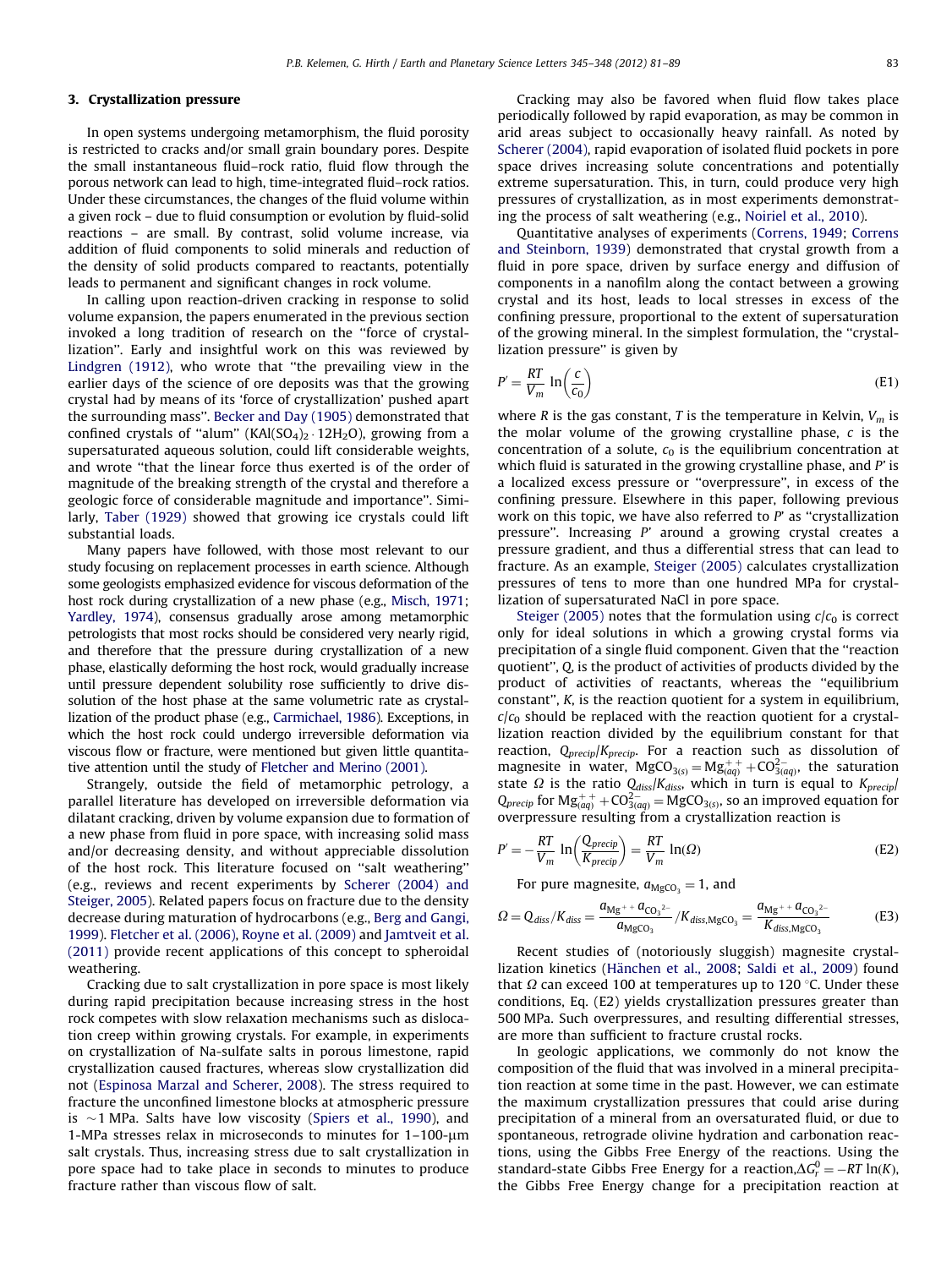#### <span id="page-2-0"></span>3. Crystallization pressure

In open systems undergoing metamorphism, the fluid porosity is restricted to cracks and/or small grain boundary pores. Despite the small instantaneous fluid–rock ratio, fluid flow through the porous network can lead to high, time-integrated fluid–rock ratios. Under these circumstances, the changes of the fluid volume within a given rock – due to fluid consumption or evolution by fluid-solid reactions – are small. By contrast, solid volume increase, via addition of fluid components to solid minerals and reduction of the density of solid products compared to reactants, potentially leads to permanent and significant changes in rock volume.

In calling upon reaction-driven cracking in response to solid volume expansion, the papers enumerated in the previous section invoked a long tradition of research on the ''force of crystallization''. Early and insightful work on this was reviewed by [Lindgren \(1912\)](#page-8-0), who wrote that ''the prevailing view in the earlier days of the science of ore deposits was that the growing crystal had by means of its 'force of crystallization' pushed apart the surrounding mass''. [Becker and Day \(1905\)](#page-7-0) demonstrated that confined crystals of "alum" (KAl(SO<sub>4</sub>)<sub>2</sub>  $\cdot$  12H<sub>2</sub>O), growing from a supersaturated aqueous solution, could lift considerable weights, and wrote ''that the linear force thus exerted is of the order of magnitude of the breaking strength of the crystal and therefore a geologic force of considerable magnitude and importance''. Similarly, [Taber \(1929\)](#page-8-0) showed that growing ice crystals could lift substantial loads.

Many papers have followed, with those most relevant to our study focusing on replacement processes in earth science. Although some geologists emphasized evidence for viscous deformation of the host rock during crystallization of a new phase (e.g., [Misch, 1971;](#page-8-0) [Yardley, 1974](#page-8-0)), consensus gradually arose among metamorphic petrologists that most rocks should be considered very nearly rigid, and therefore that the pressure during crystallization of a new phase, elastically deforming the host rock, would gradually increase until pressure dependent solubility rose sufficiently to drive dissolution of the host phase at the same volumetric rate as crystallization of the product phase (e.g., [Carmichael, 1986](#page-7-0)). Exceptions, in which the host rock could undergo irreversible deformation via viscous flow or fracture, were mentioned but given little quantitative attention until the study of [Fletcher and Merino \(2001\).](#page-7-0)

Strangely, outside the field of metamorphic petrology, a parallel literature has developed on irreversible deformation via dilatant cracking, driven by volume expansion due to formation of a new phase from fluid in pore space, with increasing solid mass and/or decreasing density, and without appreciable dissolution of the host rock. This literature focused on ''salt weathering'' (e.g., reviews and recent experiments by [Scherer \(2004\) and](#page-8-0) [Steiger, 2005](#page-8-0)). Related papers focus on fracture due to the density decrease during maturation of hydrocarbons (e.g., [Berg and Gangi,](#page-7-0) [1999\)](#page-7-0). [Fletcher et al. \(2006\)](#page-7-0), [Royne et al. \(2009\)](#page-8-0) and [Jamtveit et al.](#page-8-0) [\(2011\)](#page-8-0) provide recent applications of this concept to spheroidal weathering.

Cracking due to salt crystallization in pore space is most likely during rapid precipitation because increasing stress in the host rock competes with slow relaxation mechanisms such as dislocation creep within growing crystals. For example, in experiments on crystallization of Na-sulfate salts in porous limestone, rapid crystallization caused fractures, whereas slow crystallization did not ([Espinosa Marzal and Scherer, 2008\)](#page-7-0). The stress required to fracture the unconfined limestone blocks at atmospheric pressure is  ${\sim}1$  MPa. Salts have low viscosity [\(Spiers et al., 1990\)](#page-8-0), and 1-MPa stresses relax in microseconds to minutes for  $1-100$ - $\mu$ m salt crystals. Thus, increasing stress due to salt crystallization in pore space had to take place in seconds to minutes to produce fracture rather than viscous flow of salt.

Cracking may also be favored when fluid flow takes place periodically followed by rapid evaporation, as may be common in arid areas subject to occasionally heavy rainfall. As noted by [Scherer \(2004\),](#page-8-0) rapid evaporation of isolated fluid pockets in pore space drives increasing solute concentrations and potentially extreme supersaturation. This, in turn, could produce very high pressures of crystallization, as in most experiments demonstrating the process of salt weathering (e.g., [Noiriel et al., 2010\)](#page-8-0).

Quantitative analyses of experiments ([Correns, 1949](#page-7-0); [Correns](#page-7-0) [and Steinborn, 1939\)](#page-7-0) demonstrated that crystal growth from a fluid in pore space, driven by surface energy and diffusion of components in a nanofilm along the contact between a growing crystal and its host, leads to local stresses in excess of the confining pressure, proportional to the extent of supersaturation of the growing mineral. In the simplest formulation, the ''crystallization pressure'' is given by

$$
P' = \frac{RT}{V_m} \ln\left(\frac{c}{c_0}\right) \tag{E1}
$$

where R is the gas constant, T is the temperature in Kelvin,  $V_m$  is the molar volume of the growing crystalline phase,  $c$  is the concentration of a solute,  $c_0$  is the equilibrium concentration at which fluid is saturated in the growing crystalline phase, and  $P'$  is a localized excess pressure or ''overpressure'', in excess of the confining pressure. Elsewhere in this paper, following previous work on this topic, we have also referred to  $P'$  as "crystallization pressure''. Increasing P' around a growing crystal creates a pressure gradient, and thus a differential stress that can lead to fracture. As an example, [Steiger \(2005\)](#page-8-0) calculates crystallization pressures of tens to more than one hundred MPa for crystallization of supersaturated NaCl in pore space.

[Steiger \(2005\)](#page-8-0) notes that the formulation using  $c/c_0$  is correct only for ideal solutions in which a growing crystal forms via precipitation of a single fluid component. Given that the ''reaction quotient'', Q, is the product of activities of products divided by the product of activities of reactants, whereas the ''equilibrium constant'', K, is the reaction quotient for a system in equilibrium,  $c/c<sub>0</sub>$  should be replaced with the reaction quotient for a crystallization reaction divided by the equilibrium constant for that reaction,  $Q_{\text{precip}}/K_{\text{precip}}$ . For a reaction such as dissolution of magnesite in water,  $MgCO_{3(5)} = Mg_{(aq)}^{++} + CO_{3(aq)}^{2-}$ , the saturation state  $\Omega$  is the ratio  $Q_{\text{diss}}/K_{\text{diss}}$ , which in turn is equal to  $K_{\text{precip}}/K_{\text{eq}}$  $Q_{\text{precip}}$  for  $\text{Mg}^{++}_{(aq)} + \text{CO}^{2-}_{3(aq)} = \text{MgCO}_{3(s)}$ , so an improved equation for overpressure resulting from a crystallization reaction is

$$
P' = -\frac{RT}{V_m} \ln \left( \frac{Q_{\text{precip}}}{K_{\text{precip}}} \right) = \frac{RT}{V_m} \ln(\Omega) \tag{E2}
$$

For pure magnesite,  $a_{\text{MgCO}_3} = 1$ , and

$$
\Omega = Q_{diss}/K_{diss} = \frac{a_{Mg^{+}} + a_{CO_3^{2-}}}{a_{MgCO_3}} / K_{diss, MgCO_3} = \frac{a_{Mg^{+}} + a_{CO_3^{2-}}}{K_{diss, MgCO_3}}
$$
(E3)

Recent studies of (notoriously sluggish) magnesite crystal-lization kinetics (Hänchen et al., 2008; [Saldi et al., 2009\)](#page-8-0) found that  $\Omega$  can exceed 100 at temperatures up to 120 °C. Under these conditions, Eq. (E2) yields crystallization pressures greater than 500 MPa. Such overpressures, and resulting differential stresses, are more than sufficient to fracture crustal rocks.

In geologic applications, we commonly do not know the composition of the fluid that was involved in a mineral precipitation reaction at some time in the past. However, we can estimate the maximum crystallization pressures that could arise during precipitation of a mineral from an oversaturated fluid, or due to spontaneous, retrograde olivine hydration and carbonation reactions, using the Gibbs Free Energy of the reactions. Using the standard-state Gibbs Free Energy for a reaction, $\Delta G_r^0 = -RT \ln(K)$ , the Gibbs Free Energy change for a precipitation reaction at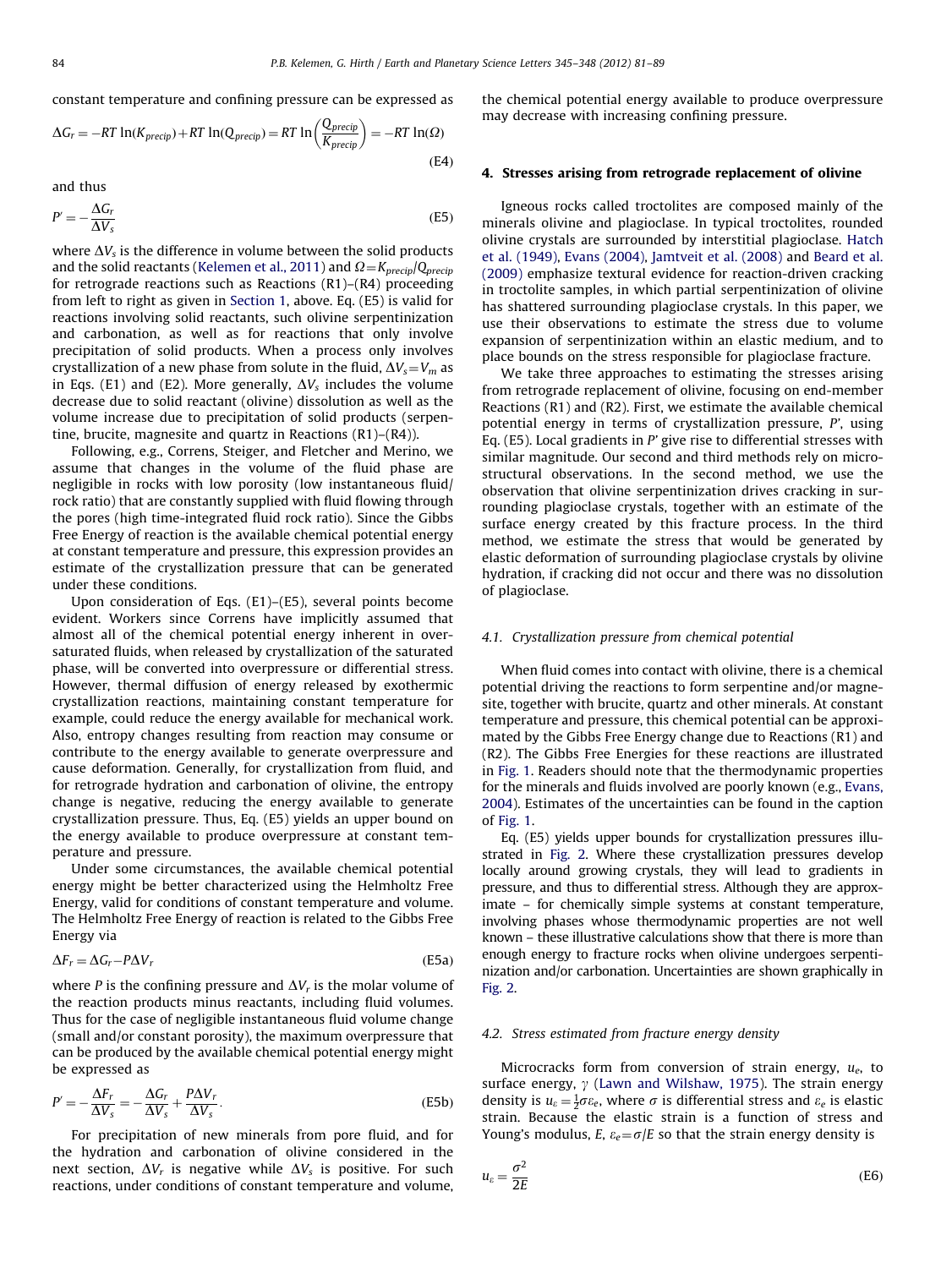<span id="page-3-0"></span>constant temperature and confining pressure can be expressed as

$$
\Delta G_r = -RT \ln(K_{\text{precip}}) + RT \ln(Q_{\text{precip}}) = RT \ln\left(\frac{Q_{\text{precip}}}{K_{\text{precip}}}\right) = -RT \ln(\Omega)
$$
\n(E4)

and thus

$$
P' = -\frac{\Delta G_r}{\Delta V_s} \tag{E5}
$$

where  $\Delta V_s$  is the difference in volume between the solid products and the solid reactants ([Kelemen et al., 2011\)](#page-8-0) and  $\Omega = K_{\text{precip}}/Q_{\text{precip}}$ for retrograde reactions such as Reactions (R1)–(R4) proceeding from left to right as given in [Section 1](#page-0-0), above. Eq. (E5) is valid for reactions involving solid reactants, such olivine serpentinization and carbonation, as well as for reactions that only involve precipitation of solid products. When a process only involves crystallization of a new phase from solute in the fluid,  $\Delta V_s = V_m$  as in Eqs. (E1) and (E2). More generally,  $\Delta V_s$  includes the volume decrease due to solid reactant (olivine) dissolution as well as the volume increase due to precipitation of solid products (serpentine, brucite, magnesite and quartz in Reactions (R1)–(R4)).

Following, e.g., Correns, Steiger, and Fletcher and Merino, we assume that changes in the volume of the fluid phase are negligible in rocks with low porosity (low instantaneous fluid/ rock ratio) that are constantly supplied with fluid flowing through the pores (high time-integrated fluid rock ratio). Since the Gibbs Free Energy of reaction is the available chemical potential energy at constant temperature and pressure, this expression provides an estimate of the crystallization pressure that can be generated under these conditions.

Upon consideration of Eqs. (E1)–(E5), several points become evident. Workers since Correns have implicitly assumed that almost all of the chemical potential energy inherent in oversaturated fluids, when released by crystallization of the saturated phase, will be converted into overpressure or differential stress. However, thermal diffusion of energy released by exothermic crystallization reactions, maintaining constant temperature for example, could reduce the energy available for mechanical work. Also, entropy changes resulting from reaction may consume or contribute to the energy available to generate overpressure and cause deformation. Generally, for crystallization from fluid, and for retrograde hydration and carbonation of olivine, the entropy change is negative, reducing the energy available to generate crystallization pressure. Thus, Eq. (E5) yields an upper bound on the energy available to produce overpressure at constant temperature and pressure.

Under some circumstances, the available chemical potential energy might be better characterized using the Helmholtz Free Energy, valid for conditions of constant temperature and volume. The Helmholtz Free Energy of reaction is related to the Gibbs Free Energy via

$$
\Delta F_r = \Delta G_r - P \Delta V_r \tag{E5a}
$$

where P is the confining pressure and  $\Delta V_r$  is the molar volume of the reaction products minus reactants, including fluid volumes. Thus for the case of negligible instantaneous fluid volume change (small and/or constant porosity), the maximum overpressure that can be produced by the available chemical potential energy might be expressed as

$$
P' = -\frac{\Delta F_r}{\Delta V_s} = -\frac{\Delta G_r}{\Delta V_s} + \frac{P \Delta V_r}{\Delta V_s}.
$$
 (E5b)

For precipitation of new minerals from pore fluid, and for the hydration and carbonation of olivine considered in the next section,  $\Delta V_r$  is negative while  $\Delta V_s$  is positive. For such reactions, under conditions of constant temperature and volume,

the chemical potential energy available to produce overpressure may decrease with increasing confining pressure.

#### 4. Stresses arising from retrograde replacement of olivine

Igneous rocks called troctolites are composed mainly of the minerals olivine and plagioclase. In typical troctolites, rounded olivine crystals are surrounded by interstitial plagioclase. [Hatch](#page-7-0) [et al. \(1949\),](#page-7-0) [Evans \(2004\)](#page-7-0), [Jamtveit et al. \(2008\)](#page-8-0) and [Beard et al.](#page-7-0) [\(2009\)](#page-7-0) emphasize textural evidence for reaction-driven cracking in troctolite samples, in which partial serpentinization of olivine has shattered surrounding plagioclase crystals. In this paper, we use their observations to estimate the stress due to volume expansion of serpentinization within an elastic medium, and to place bounds on the stress responsible for plagioclase fracture.

We take three approaches to estimating the stresses arising from retrograde replacement of olivine, focusing on end-member Reactions (R1) and (R2). First, we estimate the available chemical potential energy in terms of crystallization pressure, P', using Eq. (E5). Local gradients in  $P'$  give rise to differential stresses with similar magnitude. Our second and third methods rely on microstructural observations. In the second method, we use the observation that olivine serpentinization drives cracking in surrounding plagioclase crystals, together with an estimate of the surface energy created by this fracture process. In the third method, we estimate the stress that would be generated by elastic deformation of surrounding plagioclase crystals by olivine hydration, if cracking did not occur and there was no dissolution of plagioclase.

#### 4.1. Crystallization pressure from chemical potential

When fluid comes into contact with olivine, there is a chemical potential driving the reactions to form serpentine and/or magnesite, together with brucite, quartz and other minerals. At constant temperature and pressure, this chemical potential can be approximated by the Gibbs Free Energy change due to Reactions (R1) and (R2). The Gibbs Free Energies for these reactions are illustrated in [Fig. 1](#page-4-0). Readers should note that the thermodynamic properties for the minerals and fluids involved are poorly known (e.g., [Evans,](#page-7-0) [2004\)](#page-7-0). Estimates of the uncertainties can be found in the caption of [Fig. 1.](#page-4-0)

Eq. (E5) yields upper bounds for crystallization pressures illustrated in [Fig. 2](#page-4-0). Where these crystallization pressures develop locally around growing crystals, they will lead to gradients in pressure, and thus to differential stress. Although they are approximate – for chemically simple systems at constant temperature, involving phases whose thermodynamic properties are not well known – these illustrative calculations show that there is more than enough energy to fracture rocks when olivine undergoes serpentinization and/or carbonation. Uncertainties are shown graphically in [Fig. 2.](#page-4-0)

#### 4.2. Stress estimated from fracture energy density

Microcracks form from conversion of strain energy,  $u_e$ , to surface energy,  $\gamma$  [\(Lawn and Wilshaw, 1975](#page-8-0)). The strain energy density is  $u_{\varepsilon} = \frac{1}{2}\sigma \varepsilon_e$ , where  $\sigma$  is differential stress and  $\varepsilon_e$  is elastic strain. Because the elastic strain is a function of stress and Young's modulus, E,  $\varepsilon_e = \sigma/E$  so that the strain energy density is

$$
u_{\varepsilon} = \frac{\sigma^2}{2E} \tag{E6}
$$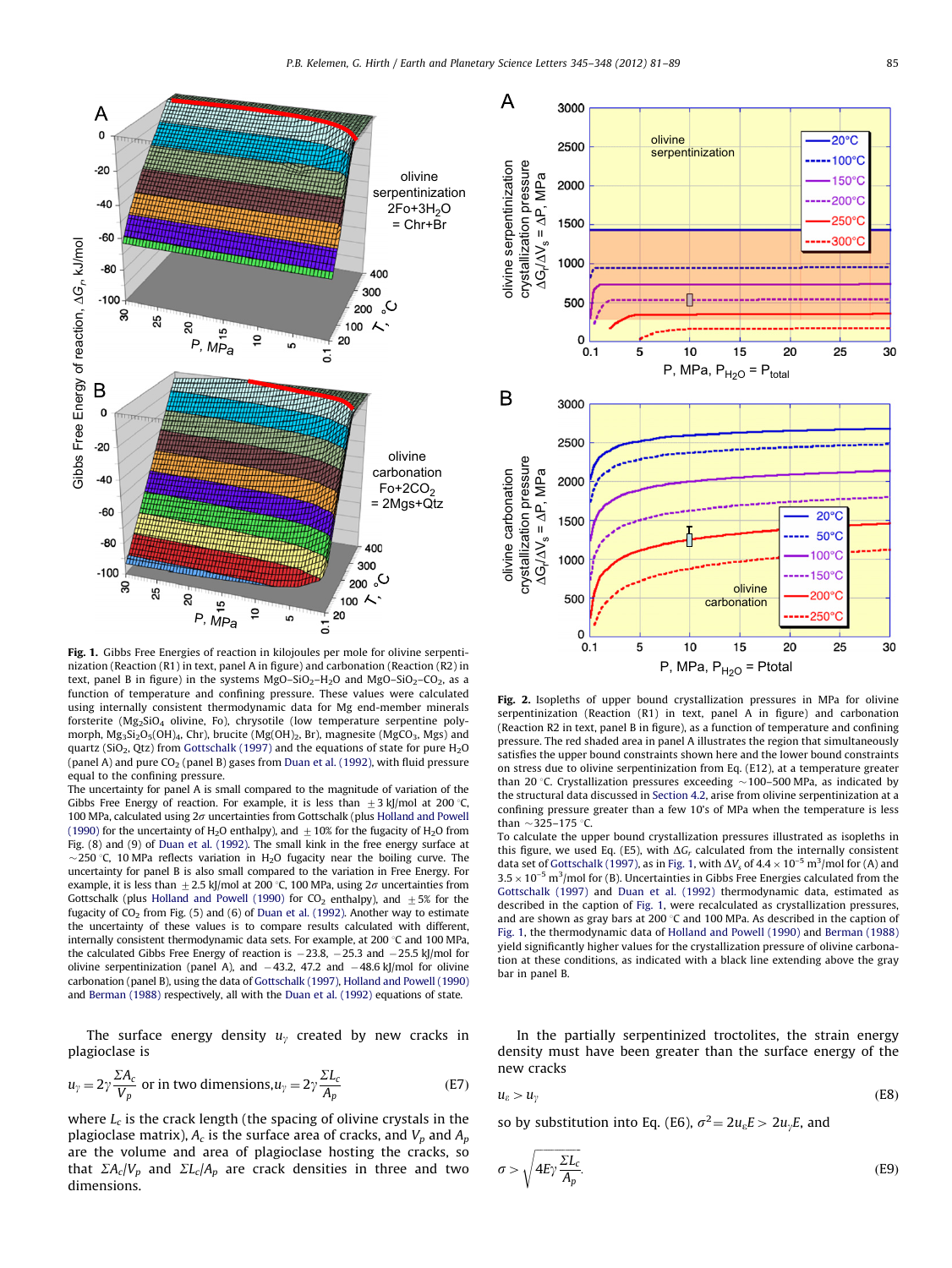<span id="page-4-0"></span>

Fig. 1. Gibbs Free Energies of reaction in kilojoules per mole for olivine serpentinization (Reaction (R1) in text, panel A in figure) and carbonation (Reaction (R2) in text, panel B in figure) in the systems  $MgO-SiO<sub>2</sub>-H<sub>2</sub>O$  and  $MgO-SiO<sub>2</sub>-CO<sub>2</sub>$ , as a function of temperature and confining pressure. These values were calculated using internally consistent thermodynamic data for Mg end-member minerals forsterite (Mg<sub>2</sub>SiO<sub>4</sub> olivine, Fo), chrysotile (low temperature serpentine polymorph,  $Mg_3Si_2O_5(OH)_4$ , Chr), brucite (Mg(OH)<sub>2</sub>, Br), magnesite (MgCO<sub>3</sub>, Mgs) and quartz (SiO<sub>2</sub>, Qtz) from [Gottschalk \(1997\)](#page-7-0) and the equations of state for pure  $H_2O$ (panel A) and pure  $CO<sub>2</sub>$  (panel B) gases from [Duan et al. \(1992\),](#page-7-0) with fluid pressure equal to the confining pressure.

The uncertainty for panel A is small compared to the magnitude of variation of the Gibbs Free Energy of reaction. For example, it is less than  $\pm$  3 kJ/mol at 200 °C, 100 MPa, calculated using  $2\sigma$  uncertainties from Gottschalk (plus [Holland and Powell](#page-7-0) [\(1990\)](#page-7-0) for the uncertainty of H<sub>2</sub>O enthalpy), and  $\pm$  10% for the fugacity of H<sub>2</sub>O from Fig. (8) and (9) of [Duan et al. \(1992\).](#page-7-0) The small kink in the free energy surface at  $\sim$ 250 °C, 10 MPa reflects variation in H<sub>2</sub>O fugacity near the boiling curve. The uncertainty for panel B is also small compared to the variation in Free Energy. For example, it is less than  $\pm 2.5$  kJ/mol at 200 °C, 100 MPa, using  $2\sigma$  uncertainties from Gottschalk (plus [Holland and Powell \(1990\)](#page-7-0) for  $CO_2$  enthalpy), and  $\pm 5\%$  for the fugacity of  $CO<sub>2</sub>$  from Fig. (5) and (6) of [Duan et al. \(1992\)](#page-7-0). Another way to estimate the uncertainty of these values is to compare results calculated with different, internally consistent thermodynamic data sets. For example, at  $200^{\circ}$ C and 100 MPa, the calculated Gibbs Free Energy of reaction is  $-23.8$ ,  $-25.3$  and  $-25.5$  kJ/mol for olivine serpentinization (panel A), and  $-43.2$ , 47.2 and  $-48.6$  kJ/mol for olivine carbonation (panel B), using the data of [Gottschalk \(1997\),](#page-7-0) [Holland and Powell \(1990\)](#page-7-0) and [Berman \(1988\)](#page-7-0) respectively, all with the [Duan et al. \(1992\)](#page-7-0) equations of state.

The surface energy density  $u<sub>y</sub>$  created by new cracks in plagioclase is

$$
u_{\gamma} = 2\gamma \frac{\Sigma A_c}{V_p} \text{ or in two dimensions, } u_{\gamma} = 2\gamma \frac{\Sigma L_c}{A_p} \tag{E7}
$$

where  $L_c$  is the crack length (the spacing of olivine crystals in the plagioclase matrix),  $A_c$  is the surface area of cracks, and  $V_p$  and  $A_p$ are the volume and area of plagioclase hosting the cracks, so that  $\sum A_c/V_p$  and  $\sum L_c/A_p$  are crack densities in three and two dimensions.



Fig. 2. Isopleths of upper bound crystallization pressures in MPa for olivine serpentinization (Reaction (R1) in text, panel A in figure) and carbonation (Reaction R2 in text, panel B in figure), as a function of temperature and confining pressure. The red shaded area in panel A illustrates the region that simultaneously satisfies the upper bound constraints shown here and the lower bound constraints on stress due to olivine serpentinization from Eq. (E12), at a temperature greater than 20 °C. Crystallization pressures exceeding  $\sim$  100–500 MPa, as indicated by the structural data discussed in [Section 4.2,](#page-3-0) arise from olivine serpentinization at a confining pressure greater than a few 10's of MPa when the temperature is less than  $\sim$ 325–175 °C.

To calculate the upper bound crystallization pressures illustrated as isopleths in this figure, we used Eq. (E5), with  $\Delta G_r$  calculated from the internally consistent data set of [Gottschalk \(1997\)](#page-7-0), as in Fig. 1, with  $\Delta V_s$  of  $4.4 \times 10^{-5}$  m<sup>3</sup>/mol for (A) and  $3.5 \times 10^{-5}$  m<sup>3</sup>/mol for (B). Uncertainties in Gibbs Free Energies calculated from the [Gottschalk \(1997\)](#page-7-0) and [Duan et al. \(1992\)](#page-7-0) thermodynamic data, estimated as described in the caption of Fig. 1, were recalculated as crystallization pressures, and are shown as gray bars at 200  $\degree$ C and 100 MPa. As described in the caption of Fig. 1, the thermodynamic data of [Holland and Powell \(1990\)](#page-7-0) and [Berman \(1988\)](#page-7-0) yield significantly higher values for the crystallization pressure of olivine carbonation at these conditions, as indicated with a black line extending above the gray bar in panel B.

In the partially serpentinized troctolites, the strain energy density must have been greater than the surface energy of the new cracks

$$
u_{\varepsilon} > u_{\gamma} \tag{E8}
$$

so by substitution into Eq. (E6),  $\sigma^2 = 2u_{\varepsilon}E > 2u_{\gamma}E$ , and

$$
\sigma > \sqrt{4E\gamma \frac{\Sigma L_c}{A_p}}.\tag{E9}
$$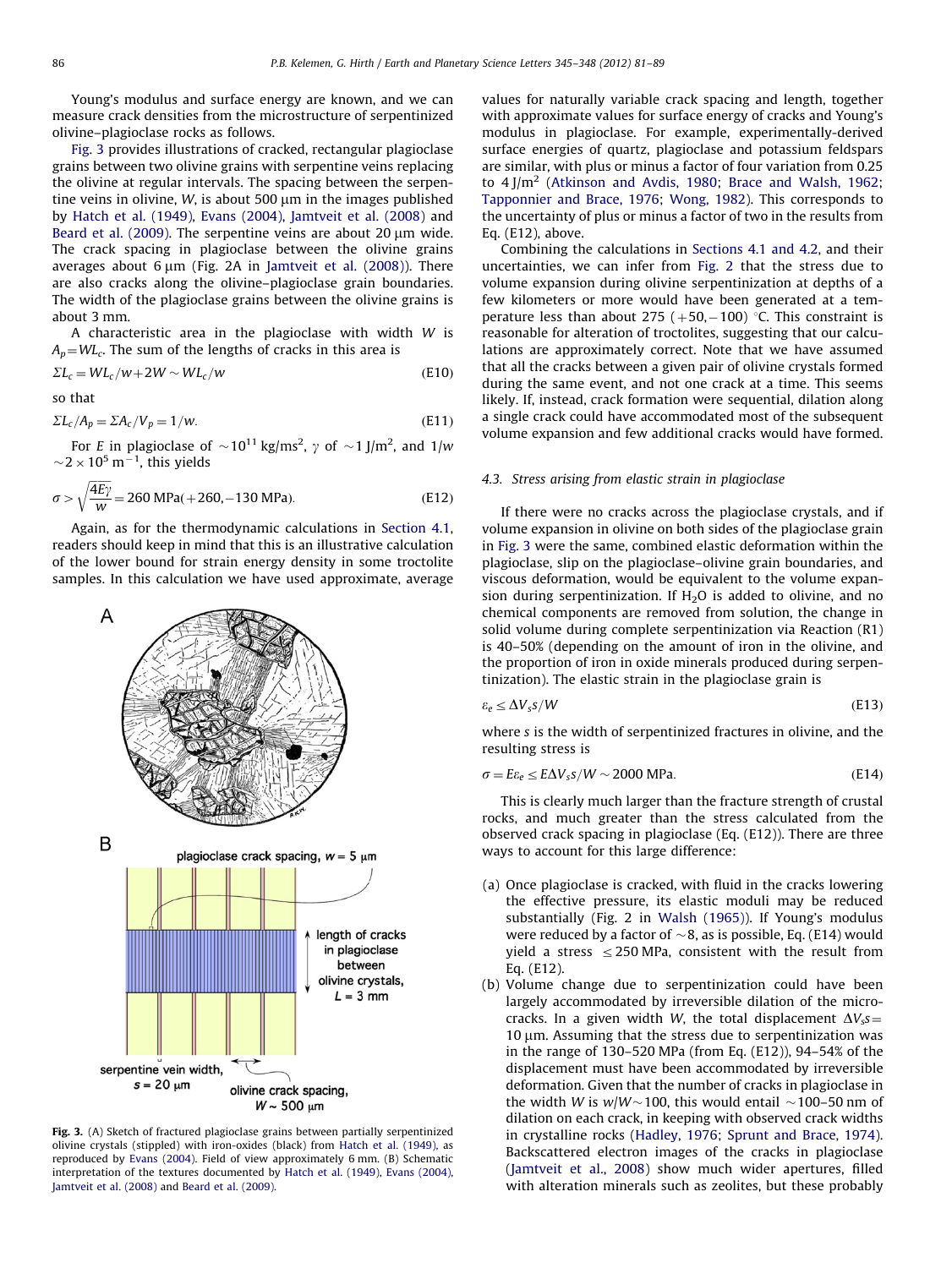Young's modulus and surface energy are known, and we can measure crack densities from the microstructure of serpentinized olivine–plagioclase rocks as follows.

Fig. 3 provides illustrations of cracked, rectangular plagioclase grains between two olivine grains with serpentine veins replacing the olivine at regular intervals. The spacing between the serpentine veins in olivine,  $W$ , is about 500  $\mu$ m in the images published by [Hatch et al. \(1949\)](#page-7-0), [Evans \(2004\),](#page-7-0) [Jamtveit et al. \(2008\)](#page-8-0) and [Beard et al. \(2009\).](#page-7-0) The serpentine veins are about 20  $\mu$ m wide. The crack spacing in plagioclase between the olivine grains averages about 6 um (Fig. 2A in [Jamtveit et al. \(2008\)\)](#page-8-0). There are also cracks along the olivine–plagioclase grain boundaries. The width of the plagioclase grains between the olivine grains is about 3 mm.

A characteristic area in the plagioclase with width W is  $A_p=WL_c$ . The sum of the lengths of cracks in this area is

$$
\Sigma L_c = WL_c/w + 2W \sim WL_c/w \tag{E10}
$$

so that

$$
\Sigma L_c / A_p = \Sigma A_c / V_p = 1 / w. \tag{E11}
$$

For E in plagioclase of  ${\sim}10^{11}\, \text{kg}/\text{ms}^2$ ,  $\gamma$  of  ${\sim}1$  J/m $^2$ , and 1/w  ${\sim}$  2  ${\times}$  10<sup>5</sup> m<sup>-1</sup>, this yields

$$
\sigma > \sqrt{\frac{4E\gamma}{w}} = 260 \text{ MPa}(+260, -130 \text{ MPa}).
$$
 (E12)

Again, as for the thermodynamic calculations in [Section 4.1,](#page-3-0) readers should keep in mind that this is an illustrative calculation of the lower bound for strain energy density in some troctolite samples. In this calculation we have used approximate, average



Fig. 3. (A) Sketch of fractured plagioclase grains between partially serpentinized olivine crystals (stippled) with iron-oxides (black) from [Hatch et al. \(1949\),](#page-7-0) as reproduced by [Evans \(2004\)](#page-7-0). Field of view approximately 6 mm. (B) Schematic interpretation of the textures documented by [Hatch et al. \(1949\)](#page-7-0), [Evans \(2004\)](#page-7-0), [Jamtveit et al. \(2008\)](#page-8-0) and [Beard et al. \(2009\).](#page-7-0)

values for naturally variable crack spacing and length, together with approximate values for surface energy of cracks and Young's modulus in plagioclase. For example, experimentally-derived surface energies of quartz, plagioclase and potassium feldspars are similar, with plus or minus a factor of four variation from 0.25 to  $4$  J/m<sup>2</sup> [\(Atkinson and Avdis, 1980;](#page-7-0) [Brace and Walsh, 1962;](#page-7-0) [Tapponnier and Brace, 1976;](#page-8-0) [Wong, 1982\)](#page-8-0). This corresponds to the uncertainty of plus or minus a factor of two in the results from Eq. (E12), above.

Combining the calculations in [Sections 4.1 and 4.2,](#page-3-0) and their uncertainties, we can infer from [Fig. 2](#page-4-0) that the stress due to volume expansion during olivine serpentinization at depths of a few kilometers or more would have been generated at a temperature less than about 275 ( $+50$ , $-100$ ) °C. This constraint is reasonable for alteration of troctolites, suggesting that our calculations are approximately correct. Note that we have assumed that all the cracks between a given pair of olivine crystals formed during the same event, and not one crack at a time. This seems likely. If, instead, crack formation were sequential, dilation along a single crack could have accommodated most of the subsequent volume expansion and few additional cracks would have formed.

#### 4.3. Stress arising from elastic strain in plagioclase

If there were no cracks across the plagioclase crystals, and if volume expansion in olivine on both sides of the plagioclase grain in Fig. 3 were the same, combined elastic deformation within the plagioclase, slip on the plagioclase–olivine grain boundaries, and viscous deformation, would be equivalent to the volume expansion during serpentinization. If  $H<sub>2</sub>O$  is added to olivine, and no chemical components are removed from solution, the change in solid volume during complete serpentinization via Reaction (R1) is 40–50% (depending on the amount of iron in the olivine, and the proportion of iron in oxide minerals produced during serpentinization). The elastic strain in the plagioclase grain is

$$
\varepsilon_e \le \Delta V_s s / W \tag{E13}
$$

where s is the width of serpentinized fractures in olivine, and the resulting stress is

$$
\sigma = E\varepsilon_e \le E\Delta V_s s/W \sim 2000 \text{ MPa.}
$$
 (E14)

This is clearly much larger than the fracture strength of crustal rocks, and much greater than the stress calculated from the observed crack spacing in plagioclase (Eq. (E12)). There are three ways to account for this large difference:

- (a) Once plagioclase is cracked, with fluid in the cracks lowering the effective pressure, its elastic moduli may be reduced substantially (Fig. 2 in [Walsh \(1965\)\)](#page-8-0). If Young's modulus were reduced by a factor of  $\sim$ 8, as is possible, Eq. (E14) would yield a stress  $\leq$  250 MPa, consistent with the result from Eq. (E12).
- (b) Volume change due to serpentinization could have been largely accommodated by irreversible dilation of the microcracks. In a given width W, the total displacement  $\Delta V_s s$  =  $10 \mu$ m. Assuming that the stress due to serpentinization was in the range of 130–520 MPa (from Eq. (E12)), 94–54% of the displacement must have been accommodated by irreversible deformation. Given that the number of cracks in plagioclase in the width W is  $w/W \sim 100$ , this would entail  $\sim$  100–50 nm of dilation on each crack, in keeping with observed crack widths in crystalline rocks ([Hadley, 1976](#page-7-0); [Sprunt and Brace, 1974\)](#page-8-0). Backscattered electron images of the cracks in plagioclase ([Jamtveit et al., 2008\)](#page-8-0) show much wider apertures, filled with alteration minerals such as zeolites, but these probably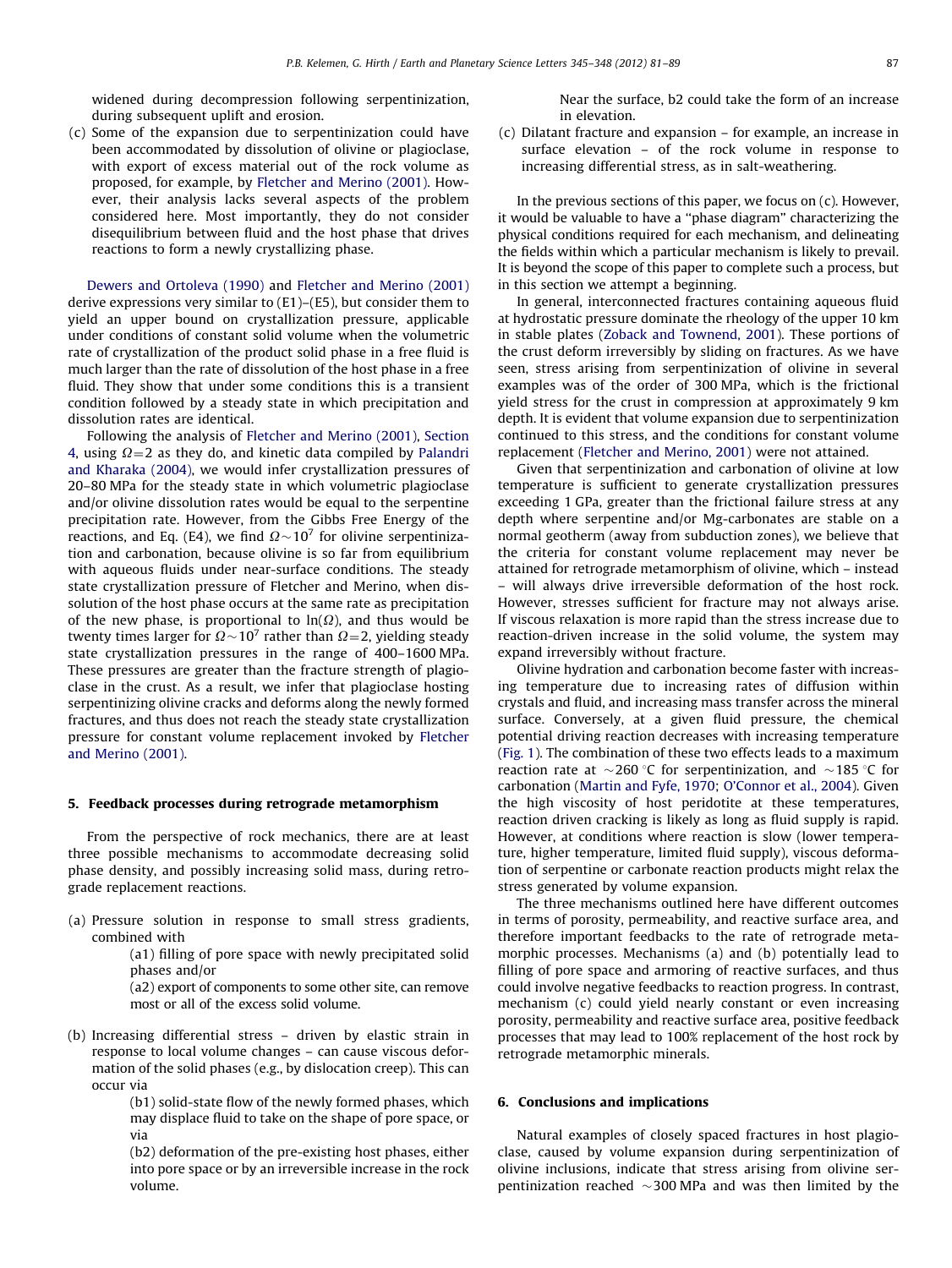widened during decompression following serpentinization, during subsequent uplift and erosion.

(c) Some of the expansion due to serpentinization could have been accommodated by dissolution of olivine or plagioclase, with export of excess material out of the rock volume as proposed, for example, by [Fletcher and Merino \(2001\)](#page-7-0). However, their analysis lacks several aspects of the problem considered here. Most importantly, they do not consider disequilibrium between fluid and the host phase that drives reactions to form a newly crystallizing phase.

[Dewers and Ortoleva \(1990\)](#page-7-0) and [Fletcher and Merino \(2001\)](#page-7-0) derive expressions very similar to (E1)–(E5), but consider them to yield an upper bound on crystallization pressure, applicable under conditions of constant solid volume when the volumetric rate of crystallization of the product solid phase in a free fluid is much larger than the rate of dissolution of the host phase in a free fluid. They show that under some conditions this is a transient condition followed by a steady state in which precipitation and dissolution rates are identical.

Following the analysis of [Fletcher and Merino \(2001\),](#page-7-0) [Section](#page-3-0) [4](#page-3-0), using  $\Omega$  = 2 as they do, and kinetic data compiled by [Palandri](#page-8-0) [and Kharaka \(2004\),](#page-8-0) we would infer crystallization pressures of 20–80 MPa for the steady state in which volumetric plagioclase and/or olivine dissolution rates would be equal to the serpentine precipitation rate. However, from the Gibbs Free Energy of the reactions, and Eq. (E4), we find  $\Omega$   $\sim$  10<sup>7</sup> for olivine serpentinization and carbonation, because olivine is so far from equilibrium with aqueous fluids under near-surface conditions. The steady state crystallization pressure of Fletcher and Merino, when dissolution of the host phase occurs at the same rate as precipitation of the new phase, is proportional to  $ln(\Omega)$ , and thus would be twenty times larger for  $\Omega\!\sim\!10^7$  rather than  $\Omega\!=\!2$ , yielding steady state crystallization pressures in the range of 400–1600 MPa. These pressures are greater than the fracture strength of plagioclase in the crust. As a result, we infer that plagioclase hosting serpentinizing olivine cracks and deforms along the newly formed fractures, and thus does not reach the steady state crystallization pressure for constant volume replacement invoked by [Fletcher](#page-7-0) [and Merino \(2001\)](#page-7-0).

## 5. Feedback processes during retrograde metamorphism

From the perspective of rock mechanics, there are at least three possible mechanisms to accommodate decreasing solid phase density, and possibly increasing solid mass, during retrograde replacement reactions.

(a) Pressure solution in response to small stress gradients, combined with

> (a1) filling of pore space with newly precipitated solid phases and/or

> (a2) export of components to some other site, can remove most or all of the excess solid volume.

(b) Increasing differential stress – driven by elastic strain in response to local volume changes – can cause viscous deformation of the solid phases (e.g., by dislocation creep). This can occur via

> (b1) solid-state flow of the newly formed phases, which may displace fluid to take on the shape of pore space, or via

> (b2) deformation of the pre-existing host phases, either into pore space or by an irreversible increase in the rock volume.

Near the surface, b2 could take the form of an increase in elevation.

(c) Dilatant fracture and expansion – for example, an increase in surface elevation – of the rock volume in response to increasing differential stress, as in salt-weathering.

In the previous sections of this paper, we focus on  $(c)$ . However, it would be valuable to have a ''phase diagram'' characterizing the physical conditions required for each mechanism, and delineating the fields within which a particular mechanism is likely to prevail. It is beyond the scope of this paper to complete such a process, but in this section we attempt a beginning.

In general, interconnected fractures containing aqueous fluid at hydrostatic pressure dominate the rheology of the upper 10 km in stable plates ([Zoback and Townend, 2001](#page-8-0)). These portions of the crust deform irreversibly by sliding on fractures. As we have seen, stress arising from serpentinization of olivine in several examples was of the order of 300 MPa, which is the frictional yield stress for the crust in compression at approximately 9 km depth. It is evident that volume expansion due to serpentinization continued to this stress, and the conditions for constant volume replacement [\(Fletcher and Merino, 2001](#page-7-0)) were not attained.

Given that serpentinization and carbonation of olivine at low temperature is sufficient to generate crystallization pressures exceeding 1 GPa, greater than the frictional failure stress at any depth where serpentine and/or Mg-carbonates are stable on a normal geotherm (away from subduction zones), we believe that the criteria for constant volume replacement may never be attained for retrograde metamorphism of olivine, which – instead – will always drive irreversible deformation of the host rock. However, stresses sufficient for fracture may not always arise. If viscous relaxation is more rapid than the stress increase due to reaction-driven increase in the solid volume, the system may expand irreversibly without fracture.

Olivine hydration and carbonation become faster with increasing temperature due to increasing rates of diffusion within crystals and fluid, and increasing mass transfer across the mineral surface. Conversely, at a given fluid pressure, the chemical potential driving reaction decreases with increasing temperature ([Fig. 1\)](#page-4-0). The combination of these two effects leads to a maximum reaction rate at  $\sim$ 260 °C for serpentinization, and  $\sim$ 185 °C for carbonation ([Martin and Fyfe, 1970](#page-8-0); [O'Connor et al., 2004\)](#page-8-0). Given the high viscosity of host peridotite at these temperatures, reaction driven cracking is likely as long as fluid supply is rapid. However, at conditions where reaction is slow (lower temperature, higher temperature, limited fluid supply), viscous deformation of serpentine or carbonate reaction products might relax the stress generated by volume expansion.

The three mechanisms outlined here have different outcomes in terms of porosity, permeability, and reactive surface area, and therefore important feedbacks to the rate of retrograde metamorphic processes. Mechanisms (a) and (b) potentially lead to filling of pore space and armoring of reactive surfaces, and thus could involve negative feedbacks to reaction progress. In contrast, mechanism (c) could yield nearly constant or even increasing porosity, permeability and reactive surface area, positive feedback processes that may lead to 100% replacement of the host rock by retrograde metamorphic minerals.

#### 6. Conclusions and implications

Natural examples of closely spaced fractures in host plagioclase, caused by volume expansion during serpentinization of olivine inclusions, indicate that stress arising from olivine serpentinization reached  $\sim$ 300 MPa and was then limited by the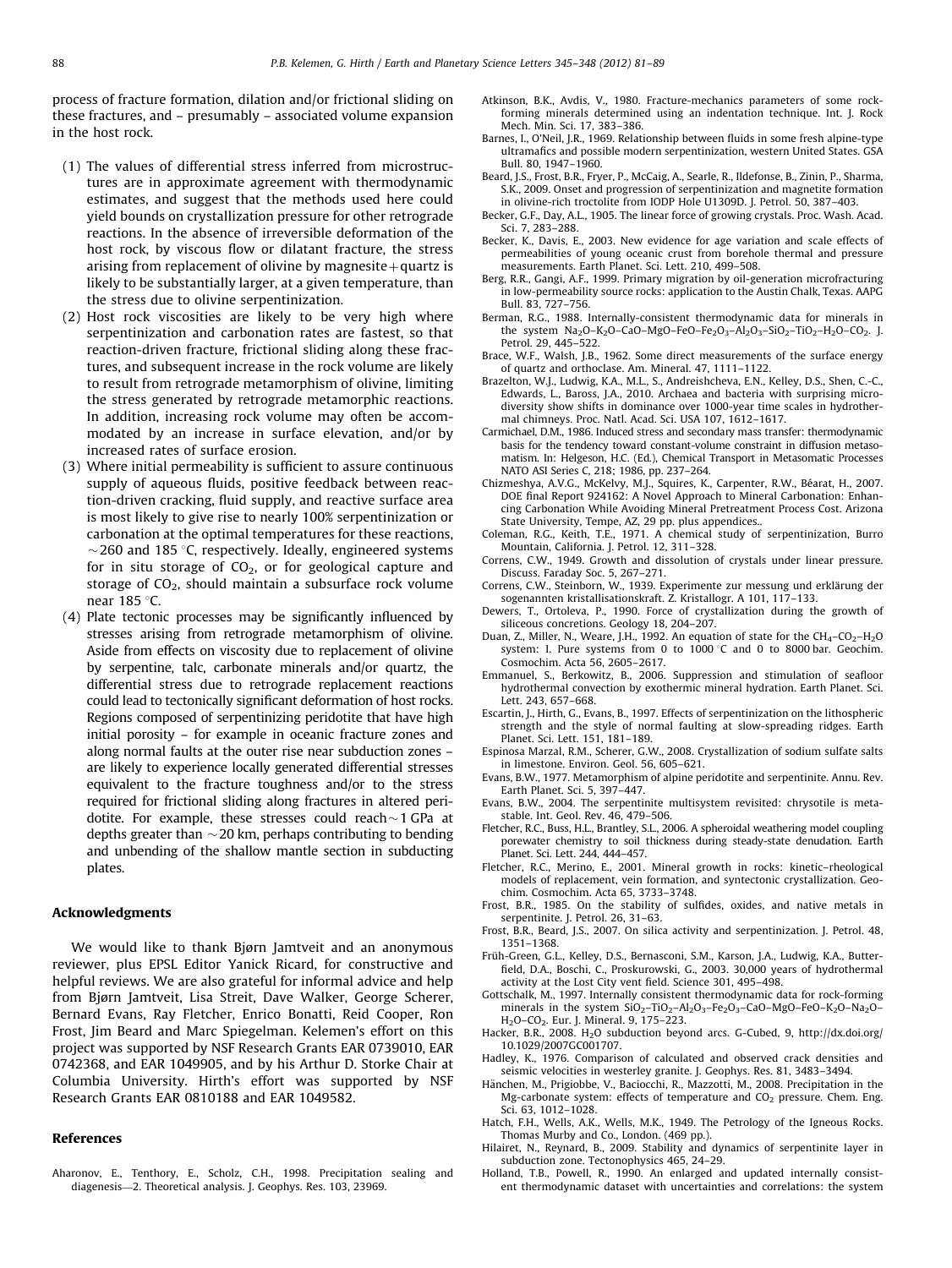<span id="page-7-0"></span>process of fracture formation, dilation and/or frictional sliding on these fractures, and – presumably – associated volume expansion in the host rock.

- (1) The values of differential stress inferred from microstructures are in approximate agreement with thermodynamic estimates, and suggest that the methods used here could yield bounds on crystallization pressure for other retrograde reactions. In the absence of irreversible deformation of the host rock, by viscous flow or dilatant fracture, the stress arising from replacement of olivine by magnesite  $+$  quartz is likely to be substantially larger, at a given temperature, than the stress due to olivine serpentinization.
- (2) Host rock viscosities are likely to be very high where serpentinization and carbonation rates are fastest, so that reaction-driven fracture, frictional sliding along these fractures, and subsequent increase in the rock volume are likely to result from retrograde metamorphism of olivine, limiting the stress generated by retrograde metamorphic reactions. In addition, increasing rock volume may often be accommodated by an increase in surface elevation, and/or by increased rates of surface erosion.
- (3) Where initial permeability is sufficient to assure continuous supply of aqueous fluids, positive feedback between reaction-driven cracking, fluid supply, and reactive surface area is most likely to give rise to nearly 100% serpentinization or carbonation at the optimal temperatures for these reactions,  $\sim$  260 and 185 °C, respectively. Ideally, engineered systems for in situ storage of  $CO<sub>2</sub>$ , or for geological capture and storage of  $CO<sub>2</sub>$ , should maintain a subsurface rock volume near 185 °C.
- (4) Plate tectonic processes may be significantly influenced by stresses arising from retrograde metamorphism of olivine. Aside from effects on viscosity due to replacement of olivine by serpentine, talc, carbonate minerals and/or quartz, the differential stress due to retrograde replacement reactions could lead to tectonically significant deformation of host rocks. Regions composed of serpentinizing peridotite that have high initial porosity – for example in oceanic fracture zones and along normal faults at the outer rise near subduction zones – are likely to experience locally generated differential stresses equivalent to the fracture toughness and/or to the stress required for frictional sliding along fractures in altered peridotite. For example, these stresses could reach $\sim$ 1 GPa at depths greater than  ${\sim}$  20 km, perhaps contributing to bending and unbending of the shallow mantle section in subducting plates.

#### Acknowledgments

We would like to thank Bjørn Jamtveit and an anonymous reviewer, plus EPSL Editor Yanick Ricard, for constructive and helpful reviews. We are also grateful for informal advice and help from Bjørn Jamtveit, Lisa Streit, Dave Walker, George Scherer, Bernard Evans, Ray Fletcher, Enrico Bonatti, Reid Cooper, Ron Frost, Jim Beard and Marc Spiegelman. Kelemen's effort on this project was supported by NSF Research Grants EAR 0739010, EAR 0742368, and EAR 1049905, and by his Arthur D. Storke Chair at Columbia University. Hirth's effort was supported by NSF Research Grants EAR 0810188 and EAR 1049582.

#### References

Aharonov, E., Tenthory, E., Scholz, C.H., 1998. Precipitation sealing and diagenesis—2. Theoretical analysis. J. Geophys. Res. 103, 23969.

- Atkinson, B.K., Avdis, V., 1980. Fracture-mechanics parameters of some rockforming minerals determined using an indentation technique. Int. J. Rock Mech. Min. Sci. 17, 383–386.
- Barnes, I., O'Neil, J.R., 1969. Relationship between fluids in some fresh alpine-type ultramafics and possible modern serpentinization, western United States. GSA Bull. 80, 1947–1960.
- Beard, J.S., Frost, B.R., Fryer, P., McCaig, A., Searle, R., Ildefonse, B., Zinin, P., Sharma, S.K., 2009. Onset and progression of serpentinization and magnetite formation in olivine-rich troctolite from IODP Hole U1309D. J. Petrol. 50, 387–403.
- Becker, G.F., Day, A.L., 1905. The linear force of growing crystals. Proc. Wash. Acad. Sci. 7, 283–288.
- Becker, K., Davis, E., 2003. New evidence for age variation and scale effects of permeabilities of young oceanic crust from borehole thermal and pressure measurements. Earth Planet. Sci. Lett. 210, 499–508.
- Berg, R.R., Gangi, A.F., 1999. Primary migration by oil-generation microfracturing in low-permeability source rocks: application to the Austin Chalk, Texas. AAPG Bull. 83, 727–756.
- Berman, R.G., 1988. Internally-consistent thermodynamic data for minerals in the system Na<sub>2</sub>O–K<sub>2</sub>O–CaO–MgO–FeO–Fe<sub>2</sub>O<sub>3</sub>–Al<sub>2</sub>O<sub>3</sub>–SiO<sub>2</sub>–TiO<sub>2</sub>–H<sub>2</sub>O–CO<sub>2</sub>. J. Petrol. 29, 445–522.
- Brace, W.F., Walsh, J.B., 1962. Some direct measurements of the surface energy of quartz and orthoclase. Am. Mineral. 47, 1111–1122.
- Brazelton, W.J., Ludwig, K.A., M.L., S., Andreishcheva, E.N., Kelley, D.S., Shen, C.-C., Edwards, L., Baross, J.A., 2010. Archaea and bacteria with surprising microdiversity show shifts in dominance over 1000-year time scales in hydrothermal chimneys. Proc. Natl. Acad. Sci. USA 107, 1612–1617.
- Carmichael, D.M., 1986. Induced stress and secondary mass transfer: thermodynamic basis for the tendency toward constant-volume constraint in diffusion metasomatism. In: Helgeson, H.C. (Ed.), Chemical Transport in Metasomatic Processes NATO ASI Series C, 218; 1986, pp. 237–264.
- Chizmeshya, A.V.G., McKelvy, M.J., Squires, K., Carpenter, R.W., Béarat, H., 2007. DOE final Report 924162: A Novel Approach to Mineral Carbonation: Enhancing Carbonation While Avoiding Mineral Pretreatment Process Cost. Arizona State University, Tempe, AZ, 29 pp. plus appendices..
- Coleman, R.G., Keith, T.E., 1971. A chemical study of serpentinization, Burro Mountain, California. J. Petrol. 12, 311–328.
- Correns, C.W., 1949. Growth and dissolution of crystals under linear pressure. Discuss. Faraday Soc. 5, 267–271.
- Correns, C.W., Steinborn, W., 1939. Experimente zur messung und erklärung der sogenannten kristallisationskraft. Z. Kristallogr. A 101, 117–133.
- Dewers, T., Ortoleva, P., 1990. Force of crystallization during the growth of siliceous concretions. Geology 18, 204–207.
- Duan, Z., Miller, N., Weare, J.H., 1992. An equation of state for the  $CH_4-CO_2-H_2O$ system: I. Pure systems from 0 to 1000  $\degree$ C and 0 to 8000 bar. Geochim. Cosmochim. Acta 56, 2605–2617.
- Emmanuel, S., Berkowitz, B., 2006. Suppression and stimulation of seafloor hydrothermal convection by exothermic mineral hydration. Earth Planet. Sci. Lett. 243, 657–668.
- Escartin, J., Hirth, G., Evans, B., 1997. Effects of serpentinization on the lithospheric strength and the style of normal faulting at slow-spreading ridges. Earth Planet. Sci. Lett. 151, 181–189.
- Espinosa Marzal, R.M., Scherer, G.W., 2008. Crystallization of sodium sulfate salts in limestone. Environ. Geol. 56, 605–621.
- Evans, B.W., 1977. Metamorphism of alpine peridotite and serpentinite. Annu. Rev. Earth Planet. Sci. 5, 397–447.
- Evans, B.W., 2004. The serpentinite multisystem revisited: chrysotile is metastable. Int. Geol. Rev. 46, 479–506.
- Fletcher, R.C., Buss, H.L., Brantley, S.L., 2006. A spheroidal weathering model coupling porewater chemistry to soil thickness during steady-state denudation. Earth Planet. Sci. Lett. 244, 444–457.
- Fletcher, R.C., Merino, E., 2001. Mineral growth in rocks: kinetic–rheological models of replacement, vein formation, and syntectonic crystallization. Geochim. Cosmochim. Acta 65, 3733–3748.
- Frost, B.R., 1985. On the stability of sulfides, oxides, and native metals in serpentinite. J. Petrol. 26, 31-63.
- Frost, B.R., Beard, J.S., 2007. On silica activity and serpentinization. J. Petrol. 48, 1351–1368.
- Früh-Green, G.L., Kelley, D.S., Bernasconi, S.M., Karson, J.A., Ludwig, K.A., Butterfield, D.A., Boschi, C., Proskurowski, G., 2003. 30,000 years of hydrothermal activity at the Lost City vent field. Science 301, 495–498.
- Gottschalk, M., 1997. Internally consistent thermodynamic data for rock-forming minerals in the system  $SiO_2-TiO_2-Al_2O_3-Fe_2O_3-CaO-MgO-FeO-K_2O-Na_2O-$ H2O–CO2. Eur. J. Mineral. 9, 175–223.
- Hacker, B.R., 2008. H<sub>2</sub>O subduction beyond arcs. G-Cubed, 9, [http://dx.doi.org/](dx.doi.org/10.1029/2007GC001707) [10.1029/2007GC001707.](dx.doi.org/10.1029/2007GC001707)
- Hadley, K., 1976. Comparison of calculated and observed crack densities and seismic velocities in westerley granite. J. Geophys. Res. 81, 3483–3494.
- Hänchen, M., Prigiobbe, V., Baciocchi, R., Mazzotti, M., 2008. Precipitation in the Mg-carbonate system: effects of temperature and  $CO<sub>2</sub>$  pressure. Chem. Eng. Sci. 63, 1012–1028.
- Hatch, F.H., Wells, A.K., Wells, M.K., 1949. The Petrology of the Igneous Rocks. Thomas Murby and Co., London. (469 pp.).
- Hilairet, N., Reynard, B., 2009. Stability and dynamics of serpentinite layer in subduction zone. Tectonophysics 465, 24–29.
- Holland, T.B., Powell, R., 1990. An enlarged and updated internally consistent thermodynamic dataset with uncertainties and correlations: the system